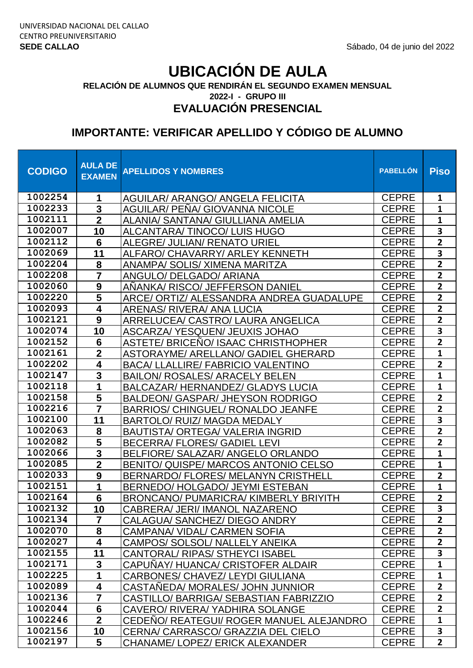**2022-I - GRUPO III RELACIÓN DE ALUMNOS QUE RENDIRÁN EL SEGUNDO EXAMEN MENSUAL**

## **EVALUACIÓN PRESENCIAL**

| <b>CODIGO</b> | <b>AULA DE</b><br><b>EXAMEN</b> | <b>APELLIDOS Y NOMBRES</b>                   | <b>PABELLÓN</b> | <b>Piso</b>             |
|---------------|---------------------------------|----------------------------------------------|-----------------|-------------------------|
| 1002254       | 1                               | <b>AGUILAR/ ARANGO/ ANGELA FELICITA</b>      | <b>CEPRE</b>    | $\mathbf{1}$            |
| 1002233       | 3                               | <b>AGUILAR/ PENA/ GIOVANNA NICOLE</b>        | <b>CEPRE</b>    | $\mathbf{1}$            |
| 1002111       | $\overline{2}$                  | ALANIA/ SANTANA/ GIULLIANA AMELIA            | <b>CEPRE</b>    | $\mathbf{1}$            |
| 1002007       | 10                              | ALCANTARA/TINOCO/LUIS HUGO                   | <b>CEPRE</b>    | $\overline{\mathbf{3}}$ |
| 1002112       | $6\phantom{1}$                  | ALEGRE/ JULIAN/ RENATO URIEL                 | <b>CEPRE</b>    | $\overline{2}$          |
| 1002069       | 11                              | ALFARO/ CHAVARRY/ ARLEY KENNETH              | <b>CEPRE</b>    | 3                       |
| 1002204       | 8                               | <b>ANAMPA/ SOLIS/ XIMENA MARITZA</b>         | <b>CEPRE</b>    | $\overline{2}$          |
| 1002208       | 7                               | ANGULO/ DELGADO/ ARIANA                      | <b>CEPRE</b>    | $\overline{\mathbf{2}}$ |
| 1002060       | $\boldsymbol{9}$                | ANANKA/ RISCO/ JEFFERSON DANIEL              | <b>CEPRE</b>    | $\overline{2}$          |
| 1002220       | $\overline{\mathbf{5}}$         | ARCE/ ORTIZ/ ALESSANDRA ANDREA GUADALUPE     | <b>CEPRE</b>    | $\overline{2}$          |
| 1002093       | 4                               | <b>ARENAS/ RIVERA/ ANA LUCIA</b>             | <b>CEPRE</b>    | $\overline{2}$          |
| 1002121       | $\boldsymbol{9}$                | ARRELUCEA/ CASTRO/ LAURA ANGELICA            | <b>CEPRE</b>    | $\overline{2}$          |
| 1002074       | 10                              | ASCARZA/YESQUEN/JEUXIS JOHAO                 | <b>CEPRE</b>    | $\overline{\mathbf{3}}$ |
| 1002152       | $6\phantom{1}6$                 | <b>ASTETE/ BRICENO/ ISAAC CHRISTHOPHER</b>   | <b>CEPRE</b>    | $\overline{2}$          |
| 1002161       | $\overline{\mathbf{2}}$         | ASTORAYME/ ARELLANO/ GADIEL GHERARD          | <b>CEPRE</b>    | $\mathbf{1}$            |
| 1002202       | $\overline{\mathbf{4}}$         | <b>BACA/ LLALLIRE/ FABRICIO VALENTINO</b>    | <b>CEPRE</b>    | $\overline{2}$          |
| 1002147       | 3                               | <b>BAILON/ ROSALES/ ARACELY BELEN</b>        | <b>CEPRE</b>    | $\mathbf{1}$            |
| 1002118       | 1                               | BALCAZAR/ HERNANDEZ/ GLADYS LUCIA            | <b>CEPRE</b>    | $\mathbf{1}$            |
| 1002158       | $\overline{\mathbf{5}}$         | <b>BALDEON/ GASPAR/ JHEYSON RODRIGO</b>      | <b>CEPRE</b>    | $\overline{2}$          |
| 1002216       | 7                               | <b>BARRIOS/ CHINGUEL/ RONALDO JEANFE</b>     | <b>CEPRE</b>    | $\overline{2}$          |
| 1002100       | 11                              | <b>BARTOLO/ RUIZ/ MAGDA MEDALY</b>           | <b>CEPRE</b>    | 3                       |
| 1002063       | 8                               | <b>BAUTISTA/ ORTEGA/ VALERIA INGRID</b>      | <b>CEPRE</b>    | $\overline{2}$          |
| 1002082       | $\overline{\mathbf{5}}$         | <b>BECERRA/ FLORES/ GADIEL LEVI</b>          | <b>CEPRE</b>    | $\overline{2}$          |
| 1002066       | $\overline{\mathbf{3}}$         | BELFIORE/ SALAZAR/ ANGELO ORLANDO            | <b>CEPRE</b>    | $\mathbf{1}$            |
| 1002085       | $\overline{2}$                  | BENITO/ QUISPE/ MARCOS ANTONIO CELSO         | <b>CEPRE</b>    | $\mathbf{1}$            |
| 1002033       | $\boldsymbol{9}$                | <b>BERNARDO/ FLORES/ MELANYN CRISTHELL</b>   | <b>CEPRE</b>    | $\overline{2}$          |
| 1002151       | 1                               | BERNEDO/HOLGADO/JEYMI ESTEBAN                | <b>CEPRE</b>    | $\mathbf{1}$            |
| 1002164       | $6\phantom{1}$                  | <b>BRONCANO/ PUMARICRA/ KIMBERLY BRIYITH</b> | <b>CEPRE</b>    | $\mathbf{2}$            |
| 1002132       | 10                              | CABRERA/ JERI/ IMANOL NAZARENO               | <b>CEPRE</b>    | 3                       |
| 1002134       | $\overline{7}$                  | CALAGUA/ SANCHEZ/ DIEGO ANDRY                | <b>CEPRE</b>    | $\overline{2}$          |
| 1002070       | 8                               | CAMPANA/ VIDAL/ CARMEN SOFIA                 | <b>CEPRE</b>    | $\overline{2}$          |
| 1002027       | 4                               | CAMPOS/ SOLSOL/ NALLELY ANEIKA               | <b>CEPRE</b>    | $\overline{2}$          |
| 1002155       | 11                              | CANTORAL/RIPAS/STHEYCI ISABEL                | <b>CEPRE</b>    | 3                       |
| 1002171       | 3                               | CAPUÑAY/HUANCA/CRISTOFER ALDAIR              | <b>CEPRE</b>    | $\mathbf{1}$            |
| 1002225       | 1                               | CARBONES/ CHAVEZ/ LEYDI GIULIANA             | <b>CEPRE</b>    | $\mathbf{1}$            |
| 1002089       | 4                               | CASTANEDA/ MORALES/ JOHN JUNNIOR             | <b>CEPRE</b>    | $\overline{2}$          |
| 1002136       | $\overline{7}$                  | CASTILLO/ BARRIGA/ SEBASTIAN FABRIZZIO       | <b>CEPRE</b>    | $\overline{2}$          |
| 1002044       | $6\phantom{1}$                  | CAVERO/ RIVERA/ YADHIRA SOLANGE              | <b>CEPRE</b>    | $\overline{2}$          |
| 1002246       | $\overline{2}$                  | CEDENO/ REATEGUI/ ROGER MANUEL ALEJANDRO     | <b>CEPRE</b>    | $\mathbf{1}$            |
| 1002156       | 10                              | CERNA/ CARRASCO/ GRAZZIA DEL CIELO           | <b>CEPRE</b>    | 3                       |
| 1002197       | 5                               | CHANAME/ LOPEZ/ ERICK ALEXANDER              | <b>CEPRE</b>    | $\mathbf{2}$            |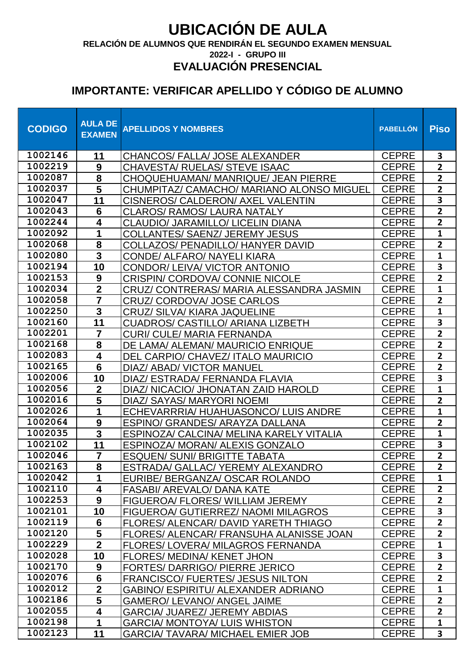**RELACIÓN DE ALUMNOS QUE RENDIRÁN EL SEGUNDO EXAMEN MENSUAL**

**2022-I - GRUPO III**

#### **EVALUACIÓN PRESENCIAL**

| <b>CODIGO</b>      | <b>AULA DE</b><br><b>EXAMEN</b> | <b>APELLIDOS Y NOMBRES</b>                                                  | <b>PABELLÓN</b>              | <b>Piso</b>                    |
|--------------------|---------------------------------|-----------------------------------------------------------------------------|------------------------------|--------------------------------|
| 1002146            | 11                              | CHANCOS/ FALLA/ JOSE ALEXANDER                                              | <b>CEPRE</b>                 | 3                              |
| 1002219            | $\boldsymbol{9}$                | <b>CHAVESTA/ RUELAS/ STEVE ISAAC</b>                                        | <b>CEPRE</b>                 | $\overline{2}$                 |
| 1002087            | ${\bf 8}$                       | CHOQUEHUAMAN/ MANRIQUE/ JEAN PIERRE                                         | <b>CEPRE</b>                 | $\overline{2}$                 |
| 1002037            | $\overline{\mathbf{5}}$         | CHUMPITAZ/ CAMACHO/ MARIANO ALONSO MIGUEL                                   | <b>CEPRE</b>                 | $\overline{2}$                 |
| 1002047            | 11                              | CISNEROS/ CALDERON/ AXEL VALENTIN                                           | <b>CEPRE</b>                 | $\overline{\mathbf{3}}$        |
| 1002043            | $6\phantom{1}6$                 | <b>CLAROS/ RAMOS/ LAURA NATALY</b>                                          | <b>CEPRE</b>                 | $\overline{2}$                 |
| 1002244            | 4                               | CLAUDIO/ JARAMILLO/ LICELIN DIANA                                           | <b>CEPRE</b>                 | $\overline{2}$                 |
| 1002092            | 1                               | <b>COLLANTES/ SAENZ/ JEREMY JESUS</b>                                       | <b>CEPRE</b>                 | $\mathbf{1}$                   |
| 1002068            | 8                               | <b>COLLAZOS/ PENADILLO/ HANYER DAVID</b>                                    | <b>CEPRE</b>                 | $\overline{2}$                 |
| 1002080            | $\overline{\mathbf{3}}$         | CONDE/ ALFARO/ NAYELI KIARA                                                 | <b>CEPRE</b>                 | $\mathbf{1}$                   |
| 1002194            | 10                              | CONDOR/ LEIVA/ VICTOR ANTONIO                                               | <b>CEPRE</b>                 | $\overline{\mathbf{3}}$        |
| 1002153            | $\boldsymbol{9}$                | <b>CRISPIN/ CORDOVA/ CONNIE NICOLE</b>                                      | <b>CEPRE</b>                 | $\overline{2}$                 |
| 1002034            | $\overline{2}$                  | CRUZ/ CONTRERAS/ MARIA ALESSANDRA JASMIN                                    | <b>CEPRE</b>                 | $\mathbf{1}$                   |
| 1002058            |                                 | <b>CRUZ/ CORDOVA/ JOSE CARLOS</b>                                           | <b>CEPRE</b>                 | $\mathbf{2}$                   |
| 1002250            | 3                               | <b>CRUZ/ SILVA/ KIARA JAQUELINE</b>                                         | <b>CEPRE</b>                 | $\mathbf{1}$                   |
| 1002160            | 11                              | CUADROS/ CASTILLO/ ARIANA LIZBETH                                           | <b>CEPRE</b>                 | $\overline{\mathbf{3}}$        |
| 1002201            | $\overline{7}$                  | <b>CURI/ CULE/ MARIA FERNANDA</b>                                           | <b>CEPRE</b>                 | $\overline{2}$                 |
| 1002168            | 8                               | DE LAMA/ ALEMAN/ MAURICIO ENRIQUE                                           | <b>CEPRE</b>                 | $\overline{2}$                 |
| 1002083            | 4                               | DEL CARPIO/ CHAVEZ/ ITALO MAURICIO                                          | <b>CEPRE</b>                 | $\overline{2}$                 |
| 1002165            | $6\phantom{1}$                  | DIAZ/ ABAD/ VICTOR MANUEL                                                   | <b>CEPRE</b>                 | $\mathbf{2}$                   |
| 1002006            | 10                              | DIAZ/ ESTRADA/ FERNANDA FLAVIA                                              | <b>CEPRE</b>                 | $\overline{\mathbf{3}}$        |
| 1002056<br>1002016 | $\overline{2}$                  | DIAZ/ NICACIO/ JHONATAN ZAID HAROLD                                         | <b>CEPRE</b>                 | $\mathbf{1}$                   |
| 1002026            | 5                               | DIAZ/ SAYAS/ MARYORI NOEMI                                                  | <b>CEPRE</b>                 | $\overline{2}$<br>$\mathbf{1}$ |
| 1002064            | 1<br>9                          | ECHEVARRRIA/HUAHUASONCO/LUIS ANDRE                                          | <b>CEPRE</b><br><b>CEPRE</b> | $\overline{2}$                 |
| 1002035            | 3                               | ESPINO/ GRANDES/ ARAYZA DALLANA                                             | <b>CEPRE</b>                 | $\mathbf{1}$                   |
| 1002102            | 11                              | ESPINOZA/ CALCINA/ MELINA KARELY VITALIA<br>ESPINOZA/ MORAN/ ALEXIS GONZALO | <b>CEPRE</b>                 | $\overline{\mathbf{3}}$        |
| 1002046            | $\overline{7}$                  | <b>ESQUEN/ SUNI/ BRIGITTE TABATA</b>                                        | <b>CEPRE</b>                 | $\overline{2}$                 |
| 1002163            | $\overline{\mathbf{8}}$         | ESTRADA/ GALLAC/ YEREMY ALEXANDRO                                           | <b>CEPRE</b>                 | $\overline{2}$                 |
| 1002042            |                                 | EURIBE/ BERGANZA/ OSCAR ROLANDO                                             | <b>CEPRE</b>                 | $\mathbf{1}$                   |
| 1002110            | 4                               | <b>FASABI/ AREVALO/ DANA KATE</b>                                           | <b>CEPRE</b>                 | $\overline{2}$                 |
| 1002253            | 9                               | FIGUEROA/FLORES/WILLIAM JEREMY                                              | <b>CEPRE</b>                 | $\overline{2}$                 |
| 1002101            | 10                              | <b>FIGUEROA/ GUTIERREZ/ NAOMI MILAGROS</b>                                  | <b>CEPRE</b>                 | $\overline{\mathbf{3}}$        |
| 1002119            | 6                               | FLORES/ ALENCAR/ DAVID YARETH THIAGO                                        | <b>CEPRE</b>                 | $\overline{2}$                 |
| 1002120            | 5                               | FLORES/ ALENCAR/ FRANSUHA ALANISSE JOAN                                     | <b>CEPRE</b>                 | $\overline{2}$                 |
| 1002229            | $\overline{2}$                  | FLORES/ LOVERA/ MILAGROS FERNANDA                                           | <b>CEPRE</b>                 | $\mathbf{1}$                   |
| 1002028            | 10                              | <b>FLORES/ MEDINA/ KENET JHON</b>                                           | <b>CEPRE</b>                 | $\overline{\mathbf{3}}$        |
| 1002170            | 9                               | <b>FORTES/ DARRIGO/ PIERRE JERICO</b>                                       | <b>CEPRE</b>                 | $2^{\circ}$                    |
| 1002076            | $6\phantom{1}$                  | <b>FRANCISCO/ FUERTES/ JESUS NILTON</b>                                     | <b>CEPRE</b>                 | $\overline{2}$                 |
| 1002012            | $\overline{2}$                  | <b>GABINO/ ESPIRITU/ ALEXANDER ADRIANO</b>                                  | <b>CEPRE</b>                 | $\mathbf{1}$                   |
| 1002186            | 5                               | <b>GAMERO/ LEVANO/ ANGEL JAIME</b>                                          | <b>CEPRE</b>                 | $\overline{2}$                 |
| 1002055            | 4                               | <b>GARCIA/ JUAREZ/ JEREMY ABDIAS</b>                                        | <b>CEPRE</b>                 | 2 <sup>1</sup>                 |
| 1002198            | 1                               | <b>GARCIA/ MONTOYA/ LUIS WHISTON</b>                                        | <b>CEPRE</b>                 | $\mathbf{1}$                   |
| 1002123            | 11                              | <b>GARCIA/ TAVARA/ MICHAEL EMIER JOB</b>                                    | <b>CEPRE</b>                 | 3                              |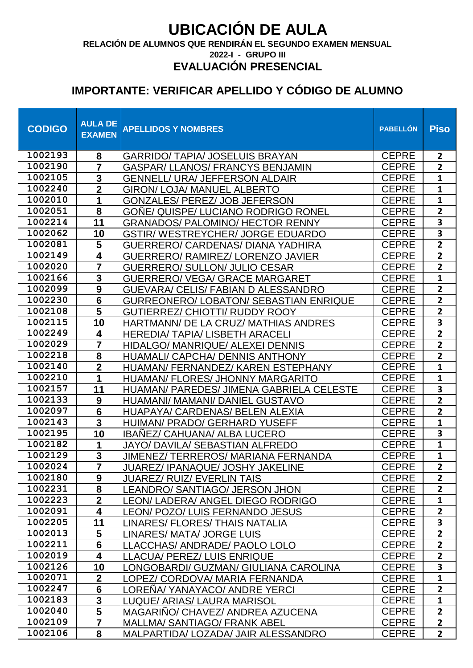**RELACIÓN DE ALUMNOS QUE RENDIRÁN EL SEGUNDO EXAMEN MENSUAL**

**2022-I - GRUPO III**

#### **EVALUACIÓN PRESENCIAL**

| <b>CODIGO</b>      | <b>AULA DE</b><br><b>EXAMEN</b> | <b>APELLIDOS Y NOMBRES</b>                                                    | <b>PABELLÓN</b>              | <b>Piso</b>                               |
|--------------------|---------------------------------|-------------------------------------------------------------------------------|------------------------------|-------------------------------------------|
| 1002193            | 8                               | <b>GARRIDO/ TAPIA/ JOSELUIS BRAYAN</b>                                        | <b>CEPRE</b>                 | $\mathbf{2}$                              |
| 1002190            |                                 | <b>GASPAR/ LLANOS/ FRANCYS BENJAMIN</b>                                       | <b>CEPRE</b>                 | $\overline{2}$                            |
| 1002105            | $\mathbf 3$                     | <b>GENNELL/ URA/ JEFFERSON ALDAIR</b>                                         | <b>CEPRE</b>                 | $\mathbf{1}$                              |
| 1002240            | $\overline{\mathbf{2}}$         | <b>GIRON/ LOJA/ MANUEL ALBERTO</b>                                            | <b>CEPRE</b>                 | $\mathbf{1}$                              |
| 1002010            | 1                               | <b>GONZALES/ PEREZ/ JOB JEFERSON</b>                                          | <b>CEPRE</b>                 | $\mathbf{1}$                              |
| 1002051            | 8                               | <b>GOÑE/ QUISPE/ LUCIANO RODRIGO RONEL</b>                                    | <b>CEPRE</b>                 | $\overline{2}$                            |
| 1002214            | 11                              | <b>GRANADOS/ PALOMINO/ HECTOR RENNY</b>                                       | <b>CEPRE</b>                 | 3                                         |
| 1002062<br>1002081 | 10                              | <b>GSTIR/ WESTREYCHER/ JORGE EDUARDO</b>                                      | <b>CEPRE</b>                 | $\overline{\mathbf{3}}$<br>$\overline{2}$ |
| 1002149            | 5<br>$\overline{\mathbf{4}}$    | <b>GUERRERO/ CARDENAS/ DIANA YADHIRA</b>                                      | <b>CEPRE</b><br><b>CEPRE</b> | $\overline{2}$                            |
| 1002020            |                                 | GUERRERO/ RAMIREZ/ LORENZO JAVIER                                             | <b>CEPRE</b>                 | $\overline{2}$                            |
| 1002166            | $\mathbf{3}$                    | <b>GUERRERO/ SULLON/ JULIO CESAR</b><br><b>GUERRERO/ VEGA/ GRACE MARGARET</b> | <b>CEPRE</b>                 | $\mathbf{1}$                              |
| 1002099            | $\boldsymbol{9}$                | GUEVARA/ CELIS/ FABIAN D ALESSANDRO                                           | <b>CEPRE</b>                 | $\overline{2}$                            |
| 1002230            | $\overline{\mathbf{6}}$         | <b>GURREONERO/ LOBATON/ SEBASTIAN ENRIQUE</b>                                 | <b>CEPRE</b>                 | $\overline{2}$                            |
| 1002108            | 5                               | <b>GUTIERREZ/ CHIOTTI/ RUDDY ROOY</b>                                         | <b>CEPRE</b>                 | $\overline{\mathbf{2}}$                   |
| 1002115            | 10                              | HARTMANN/ DE LA CRUZ/ MATHIAS ANDRES                                          | <b>CEPRE</b>                 | 3                                         |
| 1002249            | $\overline{\mathbf{4}}$         | <b>HEREDIA/ TAPIA/ LISBETH ARACELI</b>                                        | <b>CEPRE</b>                 | $\overline{2}$                            |
| 1002029            | $\overline{7}$                  | HIDALGO/ MANRIQUE/ ALEXEI DENNIS                                              | <b>CEPRE</b>                 | $\overline{2}$                            |
| 1002218            | 8                               | HUAMALI/ CAPCHA/ DENNIS ANTHONY                                               | <b>CEPRE</b>                 | $\overline{2}$                            |
| 1002140            | $\overline{2}$                  | HUAMAN/ FERNANDEZ/ KAREN ESTEPHANY                                            | <b>CEPRE</b>                 | $\mathbf{1}$                              |
| 1002210            | 1                               | HUAMAN/ FLORES/ JHONNY MARGARITO                                              | <b>CEPRE</b>                 | $\mathbf{1}$                              |
| 1002157            | 11                              | HUAMAN/ PAREDES/ JIMENA GABRIELA CELESTE                                      | <b>CEPRE</b>                 | 3                                         |
| 1002133            | 9                               | HUAMANI/ MAMANI/ DANIEL GUSTAVO                                               | <b>CEPRE</b>                 | $\overline{2}$                            |
| 1002097            | $6\phantom{1}6$                 | HUAPAYA/ CARDENAS/ BELEN ALEXIA                                               | <b>CEPRE</b>                 | $\overline{2}$                            |
| 1002143            | $\mathbf{3}$                    | HUIMAN/ PRADO/ GERHARD YUSEFF                                                 | <b>CEPRE</b>                 | 1                                         |
| 1002195            | 10                              | <b>IBANEZ/ CAHUANA/ ALBA LUCERO</b>                                           | <b>CEPRE</b>                 | $\overline{\mathbf{3}}$                   |
| 1002182            | 1                               | <b>JAYO/ DAVILA/ SEBASTIAN ALFREDO</b>                                        | <b>CEPRE</b>                 | $\mathbf{1}$                              |
| 1002129            | 3<br>—<br>—                     | JIMENEZ/ TERREROS/ MARIANA FERNANDA                                           | <b>CEPRE</b>                 | 1                                         |
| 1002024            |                                 | JUAREZ/ IPANAQUE/ JOSHY JAKELINE                                              | <b>CEPRE</b>                 | $\overline{2}$                            |
| 1002180            | 9                               | <b>JUAREZ/ RUIZ/ EVERLIN TAIS</b>                                             | <b>CEPRE</b>                 | 2 <sup>1</sup>                            |
| 1002231<br>1002223 | 8<br>$\overline{\mathbf{2}}$    | LEANDRO/ SANTIAGO/ JERSON JHON                                                | <b>CEPRE</b>                 | $\overline{2}$<br>$\mathbf{1}$            |
| 1002091            | 4                               | LEON/ LADERA/ ANGEL DIEGO RODRIGO                                             | <b>CEPRE</b><br><b>CEPRE</b> | $\overline{2}$                            |
| 1002205            | 11                              | LEON/ POZO/ LUIS FERNANDO JESUS<br><b>LINARES/FLORES/THAIS NATALIA</b>        | <b>CEPRE</b>                 | $\overline{\mathbf{3}}$                   |
| 1002013            | 5                               | LINARES/ MATA/ JORGE LUIS                                                     | <b>CEPRE</b>                 | $\overline{2}$                            |
| 1002211            | $6\phantom{1}$                  | LLACCHAS/ ANDRADE/ PAOLO LOLO                                                 | <b>CEPRE</b>                 | $\overline{2}$                            |
| 1002019            | $\overline{\mathbf{4}}$         | LLACUA/ PEREZ/ LUIS ENRIQUE                                                   | <b>CEPRE</b>                 | $\overline{2}$                            |
| 1002126            | 10                              | LONGOBARDI/ GUZMAN/ GIULIANA CAROLINA                                         | <b>CEPRE</b>                 | 3                                         |
| 1002071            | $\mathbf{2}$                    | LOPEZ/ CORDOVA/ MARIA FERNANDA                                                | <b>CEPRE</b>                 | $\mathbf{1}$                              |
| 1002247            | $6\phantom{1}6$                 | LORENA/ YANAYACO/ ANDRE YERCI                                                 | <b>CEPRE</b>                 | $\overline{2}$                            |
| 1002183            | $\overline{\mathbf{3}}$         | <b>LUQUE/ ARIAS/ LAURA MARISOL</b>                                            | <b>CEPRE</b>                 | $\mathbf{1}$                              |
| 1002040            | $\overline{\mathbf{5}}$         | MAGARINO/ CHAVEZ/ ANDREA AZUCENA                                              | <b>CEPRE</b>                 | $\overline{2}$                            |
| 1002109            | $\overline{7}$                  | <b>MALLMA/ SANTIAGO/ FRANK ABEL</b>                                           | <b>CEPRE</b>                 | $\overline{2}$                            |
| 1002106            | 8                               | MALPARTIDA/LOZADA/ JAIR ALESSANDRO                                            | <b>CEPRE</b>                 | 2 <sup>1</sup>                            |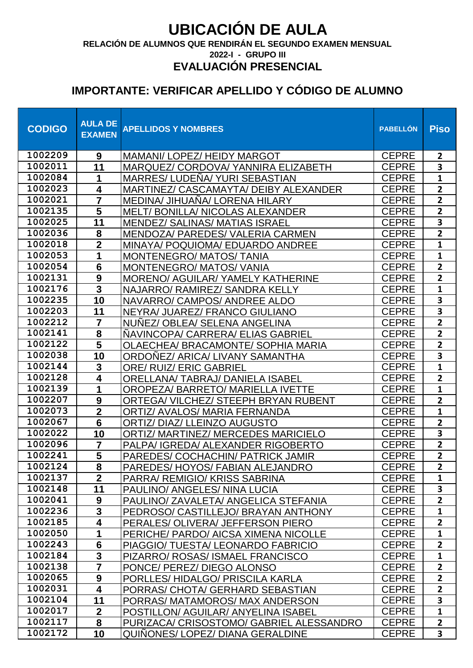**RELACIÓN DE ALUMNOS QUE RENDIRÁN EL SEGUNDO EXAMEN MENSUAL**

**2022-I - GRUPO III**

#### **EVALUACIÓN PRESENCIAL**

| <b>CODIGO</b>      | <b>AULA DE</b><br><b>EXAMEN</b> | <b>APELLIDOS Y NOMBRES</b>                                                | <b>PABELLÓN</b>              | <b>Piso</b>                    |
|--------------------|---------------------------------|---------------------------------------------------------------------------|------------------------------|--------------------------------|
| 1002209            | 9                               | MAMANI/ LOPEZ/ HEIDY MARGOT                                               | <b>CEPRE</b>                 | $\overline{2}$                 |
| 1002011            | 11                              | MARQUEZ/ CORDOVA/ YANNIRA ELIZABETH                                       | <b>CEPRE</b>                 | 3                              |
| 1002084            | 1                               | <b>MARRES/LUDENA/ YURI SEBASTIAN</b>                                      | <b>CEPRE</b>                 | $\mathbf{1}$                   |
| 1002023            | 4                               | MARTINEZ/ CASCAMAYTA/ DEIBY ALEXANDER                                     | <b>CEPRE</b>                 | $\overline{2}$                 |
| 1002021            | $\overline{\mathbf{7}}$         | MEDINA/ JIHUAÑA/ LORENA HILARY                                            | <b>CEPRE</b>                 | $\overline{2}$                 |
| 1002135            | 5                               | <b>MELT/BONILLA/NICOLAS ALEXANDER</b>                                     | <b>CEPRE</b>                 | $\overline{2}$                 |
| 1002025            | 11                              | <b>MENDEZ/ SALINAS/ MATIAS ISRAEL</b>                                     | <b>CEPRE</b>                 | $\overline{\mathbf{3}}$        |
| 1002036            | 8                               | MENDOZA/ PAREDES/ VALERIA CARMEN                                          | <b>CEPRE</b>                 | $\overline{2}$                 |
| 1002018            | $\mathbf{2}$                    | MINAYA/ POQUIOMA/ EDUARDO ANDREE                                          | <b>CEPRE</b>                 | $\mathbf{1}$                   |
| 1002053            | 1                               | <b>MONTENEGRO/ MATOS/ TANIA</b>                                           | <b>CEPRE</b>                 | $\mathbf{1}$                   |
| 1002054            | $6\phantom{1}$                  | <b>MONTENEGRO/ MATOS/ VANIA</b>                                           | <b>CEPRE</b>                 | $\overline{2}$                 |
| 1002131            | $\boldsymbol{9}$                | <b>MORENO/ AGUILAR/ YAMELY KATHERINE</b>                                  | <b>CEPRE</b>                 | $\overline{2}$                 |
| 1002176<br>1002235 | $\overline{\mathbf{3}}$         | NAJARRO/ RAMIREZ/ SANDRA KELLY                                            | <b>CEPRE</b>                 | $\mathbf{1}$                   |
| 1002203            | 10                              | NAVARRO/ CAMPOS/ ANDREE ALDO                                              | <b>CEPRE</b><br><b>CEPRE</b> | 3<br>3                         |
| 1002212            | 11<br>$\overline{7}$            | NEYRA/ JUAREZ/ FRANCO GIULIANO<br>NUNEZ/ OBLEA/ SELENA ANGELINA           | <b>CEPRE</b>                 | $\overline{2}$                 |
| 1002141            | 8                               | NAVINCOPA/ CARRERA/ ELIAS GABRIEL                                         | <b>CEPRE</b>                 | $\overline{\mathbf{2}}$        |
| 1002122            | 5                               | <b>OLAECHEA/ BRACAMONTE/ SOPHIA MARIA</b>                                 | <b>CEPRE</b>                 | $\overline{2}$                 |
| 1002038            | 10                              | <b>ORDONEZ/ ARICA/ LIVANY SAMANTHA</b>                                    | <b>CEPRE</b>                 | $\overline{\mathbf{3}}$        |
| 1002144            | $\mathbf{3}$                    | <b>ORE/ RUIZ/ ERIC GABRIEL</b>                                            | <b>CEPRE</b>                 | $\mathbf{1}$                   |
| 1002128            | 4                               | <b>ORELLANA/ TABRAJ/ DANIELA ISABEL</b>                                   | <b>CEPRE</b>                 | $\overline{2}$                 |
| 1002139            | 1                               | <b>OROPEZA/ BARRETO/ MARIELLA IVETTE</b>                                  | <b>CEPRE</b>                 | $\mathbf{1}$                   |
| 1002207            | 9                               | ORTEGA/VILCHEZ/STEEPH BRYAN RUBENT                                        | <b>CEPRE</b>                 | $\overline{2}$                 |
| 1002073            | $\mathbf{2}$                    | <b>ORTIZ/ AVALOS/ MARIA FERNANDA</b>                                      | <b>CEPRE</b>                 | $\mathbf{1}$                   |
| 1002067            | $6\phantom{1}$                  | <b>ORTIZ/ DIAZ/ LLEINZO AUGUSTO</b>                                       | <b>CEPRE</b>                 | $\overline{2}$                 |
| 1002022            | 10                              | <b>ORTIZ/ MARTINEZ/ MERCEDES MARICIELO</b>                                | <b>CEPRE</b>                 | 3                              |
| 1002096            | $\overline{7}$                  | PALPA/ IGREDA/ ALEXANDER RIGOBERTO                                        | <b>CEPRE</b>                 | $\overline{2}$                 |
| 1002241            | 5                               | PAREDES/ COCHACHIN/ PATRICK JAMIR                                         | <b>CEPRE</b>                 | $\overline{2}$                 |
| 1002124            | $\overline{\mathbf{8}}$         | PAREDES/HOYOS/ FABIAN ALEJANDRO                                           | CEPRE                        | $\overline{2}$                 |
| 1002137            | $\overline{2}$                  | PARRA/ REMIGIO/ KRISS SABRINA                                             | <b>CEPRE</b>                 | 1                              |
| 1002148            | 11                              | PAULINO/ ANGELES/ NINA LUCIA                                              | <b>CEPRE</b>                 | $\overline{\mathbf{3}}$        |
| 1002041<br>1002236 | $\boldsymbol{9}$                | PAULINO/ZAVALETA/ANGELICA STEFANIA                                        | <b>CEPRE</b>                 | $\overline{2}$                 |
| 1002185            | 3<br>4                          | PEDROSO/ CASTILLEJO/ BRAYAN ANTHONY                                       | <b>CEPRE</b><br><b>CEPRE</b> | $\mathbf{1}$<br>$\overline{2}$ |
| 1002050            | 1                               | PERALES/ OLIVERA/ JEFFERSON PIERO<br>PERICHE/ PARDO/ AICSA XIMENA NICOLLE | <b>CEPRE</b>                 | $\mathbf{1}$                   |
| 1002243            | $6\phantom{1}$                  | PIAGGIO/ TUESTA/ LEONARDO FABRICIO                                        | <b>CEPRE</b>                 | $\overline{2}$                 |
| 1002184            | $\overline{\mathbf{3}}$         | PIZARRO/ ROSAS/ ISMAEL FRANCISCO                                          | <b>CEPRE</b>                 | $\mathbf{1}$                   |
| 1002138            |                                 | PONCE/ PEREZ/ DIEGO ALONSO                                                | <b>CEPRE</b>                 | $\overline{2}$                 |
| 1002065            | 9                               | PORLLES/HIDALGO/PRISCILA KARLA                                            | <b>CEPRE</b>                 | $\overline{2}$                 |
| 1002031            | 4                               | PORRAS/ CHOTA/ GERHARD SEBASTIAN                                          | <b>CEPRE</b>                 | $\overline{2}$                 |
| 1002104            | 11                              | PORRAS/ MATAMOROS/ MAX ANDERSON                                           | <b>CEPRE</b>                 | 3                              |
| 1002017            | $\mathbf{2}$                    | POSTILLON/ AGUILAR/ ANYELINA ISABEL                                       | <b>CEPRE</b>                 | $\mathbf{1}$                   |
| 1002117            | 8                               | PURIZACA/ CRISOSTOMO/ GABRIEL ALESSANDRO                                  | <b>CEPRE</b>                 | $\overline{2}$                 |
| 1002172            | 10                              | QUINONES/ LOPEZ/ DIANA GERALDINE                                          | <b>CEPRE</b>                 | 3                              |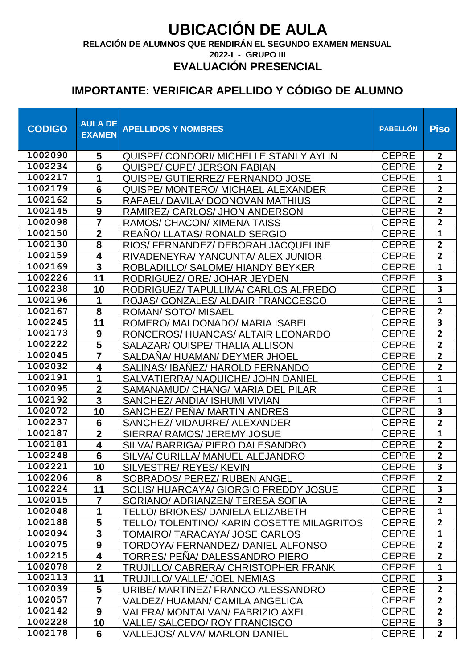**RELACIÓN DE ALUMNOS QUE RENDIRÁN EL SEGUNDO EXAMEN MENSUAL**

**2022-I - GRUPO III**

#### **EVALUACIÓN PRESENCIAL**

| <b>CODIGO</b>      | <b>AULA DE</b><br><b>EXAMEN</b>        | <b>APELLIDOS Y NOMBRES</b>                                                 | <b>PABELLÓN</b>              | <b>Piso</b>                    |
|--------------------|----------------------------------------|----------------------------------------------------------------------------|------------------------------|--------------------------------|
| 1002090            | 5                                      | QUISPE/ CONDORI/ MICHELLE STANLY AYLIN                                     | <b>CEPRE</b>                 | $\overline{2}$                 |
| 1002234            | 6                                      | <b>QUISPE/ CUPE/ JERSON FABIAN</b>                                         | <b>CEPRE</b>                 | $\mathbf{2}$                   |
| 1002217            | 1                                      | QUISPE/ GUTIERREZ/ FERNANDO JOSE                                           | <b>CEPRE</b>                 | $\mathbf{1}$                   |
| 1002179            | $6\phantom{1}6$                        | <b>QUISPE/ MONTERO/ MICHAEL ALEXANDER</b>                                  | <b>CEPRE</b>                 | $\overline{2}$                 |
| 1002162            | $\overline{\mathbf{5}}$                | RAFAEL/DAVILA/DOONOVAN MATHIUS                                             | <b>CEPRE</b>                 | $\overline{\mathbf{2}}$        |
| 1002145            | $\overline{9}$                         | RAMIREZ/ CARLOS/ JHON ANDERSON                                             | <b>CEPRE</b>                 | $\overline{2}$                 |
| 1002098            |                                        | RAMOS/ CHACON/ XIMENA TAISS                                                | <b>CEPRE</b>                 | $\overline{2}$                 |
| 1002150<br>1002130 | $\mathbf 2$<br>$\overline{\mathbf{8}}$ | <b>REANO/ LLATAS/ RONALD SERGIO</b>                                        | <b>CEPRE</b>                 | $\mathbf{1}$<br>$\overline{2}$ |
| 1002159            | 4                                      | RIOS/ FERNANDEZ/ DEBORAH JACQUELINE                                        | <b>CEPRE</b>                 | $\overline{2}$                 |
| 1002169            | 3                                      | RIVADENEYRA/ YANCUNTA/ ALEX JUNIOR<br>ROBLADILLO/ SALOME/ HIANDY BEYKER    | <b>CEPRE</b><br><b>CEPRE</b> | $\mathbf{1}$                   |
| 1002226            | 11                                     | RODRIGUEZ/ ORE/ JOHAR JEYDEN                                               | <b>CEPRE</b>                 | $\overline{\mathbf{3}}$        |
| 1002238            | 10                                     | RODRIGUEZ/ TAPULLIMA/ CARLOS ALFREDO                                       | <b>CEPRE</b>                 | 3                              |
| 1002196            | 1                                      | ROJAS/ GONZALES/ ALDAIR FRANCCESCO                                         | <b>CEPRE</b>                 | $\mathbf{1}$                   |
| 1002167            | 8                                      | <b>ROMAN/ SOTO/ MISAEL</b>                                                 | <b>CEPRE</b>                 | $\overline{2}$                 |
| 1002245            | 11                                     | ROMERO/ MALDONADO/ MARIA ISABEL                                            | <b>CEPRE</b>                 | 3                              |
| 1002173            | $\boldsymbol{9}$                       | RONCEROS/HUANCAS/ALTAIR LEONARDO                                           | <b>CEPRE</b>                 | $\overline{\mathbf{2}}$        |
| 1002222            | $\overline{\mathbf{5}}$                | SALAZAR/ QUISPE/ THALIA ALLISON                                            | <b>CEPRE</b>                 | $\overline{2}$                 |
| 1002045            |                                        | SALDANA/HUAMAN/DEYMER JHOEL                                                | <b>CEPRE</b>                 | $\overline{2}$                 |
| 1002032            | 4                                      | SALINAS/ IBANEZ/ HAROLD FERNANDO                                           | <b>CEPRE</b>                 | $\overline{\mathbf{2}}$        |
| 1002191            | 1                                      | SALVATIERRA/ NAQUICHE/ JOHN DANIEL                                         | <b>CEPRE</b>                 | $\mathbf{1}$                   |
| 1002095            | $\overline{2}$                         | SAMANAMUD/ CHANG/ MARIA DEL PILAR                                          | <b>CEPRE</b>                 | $\mathbf{1}$                   |
| 1002192            | 3                                      | SANCHEZ/ ANDIA/ ISHUMI VIVIAN                                              | <b>CEPRE</b>                 | $\mathbf{1}$                   |
| 1002072            | 10                                     | SANCHEZ/ PENA/ MARTIN ANDRES                                               | <b>CEPRE</b>                 | 3                              |
| 1002237            | $6\phantom{1}6$                        | SANCHEZ/ VIDAURRE/ ALEXANDER                                               | <b>CEPRE</b>                 | $\overline{2}$                 |
| 1002187            | $\overline{2}$                         | SIERRA/ RAMOS/ JEREMY JOSUE                                                | <b>CEPRE</b>                 | $\mathbf{1}$                   |
| 1002181            | 4                                      | SILVA/BARRIGA/PIERO DALESANDRO                                             | <b>CEPRE</b>                 | $\mathbf{2}$                   |
| 1002248            | $6\phantom{1}6$                        | SILVA/ CURILLA/ MANUEL ALEJANDRO                                           | <b>CEPRE</b>                 | $\overline{2}$                 |
| 1002221            | 10                                     | SILVESTRE/ REYES/ KEVIN                                                    | <b>CEPRE</b>                 | $\overline{\mathbf{3}}$        |
| 1002206<br>1002224 | 8                                      | SOBRADOS/ PEREZ/ RUBEN ANGEL                                               | <b>CEPRE</b>                 | 2 <sup>1</sup>                 |
| 1002015            | 11<br>7                                | SOLIS/HUARCAYA/ GIORGIO FREDDY JOSUE                                       | <b>CEPRE</b><br><b>CEPRE</b> | 3<br>$\overline{2}$            |
| 1002048            | 1                                      | SORIANO/ADRIANZEN/TERESA SOFIA<br><b>TELLO/ BRIONES/ DANIELA ELIZABETH</b> | <b>CEPRE</b>                 | $\mathbf{1}$                   |
| 1002188            | 5                                      | <b>TELLO/ TOLENTINO/ KARIN COSETTE MILAGRITOS</b>                          | <b>CEPRE</b>                 | $\overline{2}$                 |
| 1002094            | 3                                      | <b>TOMAIRO/ TARACAYA/ JOSE CARLOS</b>                                      | <b>CEPRE</b>                 | $\mathbf{1}$                   |
| 1002075            | 9                                      | TORDOYA/ FERNANDEZ/ DANIEL ALFONSO                                         | <b>CEPRE</b>                 | $\overline{2}$                 |
| 1002215            | 4                                      | TORRES/ PENA/ DALESSANDRO PIERO                                            | <b>CEPRE</b>                 | $\overline{2}$                 |
| 1002078            | $\overline{2}$                         | TRUJILLO/ CABRERA/ CHRISTOPHER FRANK                                       | <b>CEPRE</b>                 | $\mathbf{1}$                   |
| 1002113            | 11                                     | TRUJILLO/ VALLE/ JOEL NEMIAS                                               | <b>CEPRE</b>                 | 3                              |
| 1002039            | 5                                      | URIBE/ MARTINEZ/ FRANCO ALESSANDRO                                         | <b>CEPRE</b>                 | $\overline{2}$                 |
| 1002057            |                                        | VALDEZ/HUAMAN/ CAMILA ANGELICA                                             | <b>CEPRE</b>                 | $\overline{2}$                 |
| 1002142            | 9                                      | VALERA/ MONTALVAN/ FABRIZIO AXEL                                           | <b>CEPRE</b>                 | $\overline{2}$                 |
| 1002228            | 10                                     | <b>VALLE/ SALCEDO/ ROY FRANCISCO</b>                                       | <b>CEPRE</b>                 | 3                              |
| 1002178            | 6                                      | <b>VALLEJOS/ ALVA/ MARLON DANIEL</b>                                       | <b>CEPRE</b>                 | $\mathbf{2}$                   |